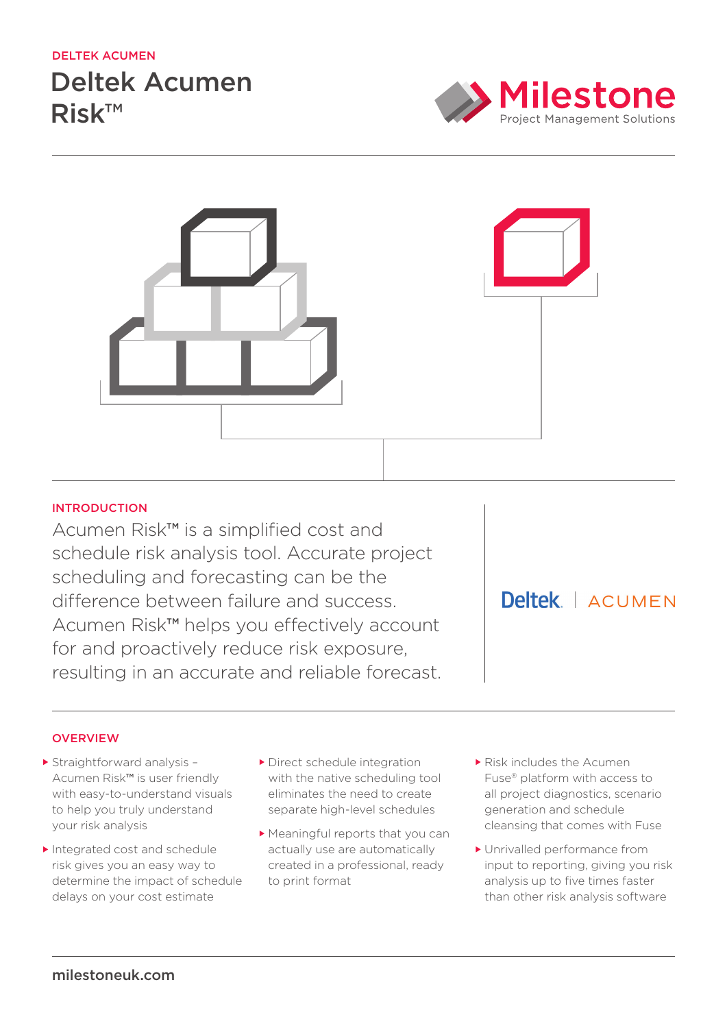# deltek acumen

# Deltek Acumen Risk™





# **INTRODUCTION**

Acumen Risk™ is a simplified cost and schedule risk analysis tool. Accurate project scheduling and forecasting can be the difference between failure and success. Acumen Risk™ helps you effectively account for and proactively reduce risk exposure, resulting in an accurate and reliable forecast.

Deltek | ACUMEN

# **OVERVIEW**

- Straightforward analysis Acumen Risk™ is user friendly with easy-to-understand visuals to help you truly understand your risk analysis
- Integrated cost and schedule risk gives you an easy way to determine the impact of schedule delays on your cost estimate
- Direct schedule integration with the native scheduling tool eliminates the need to create separate high-level schedules
- Meaningful reports that you can actually use are automatically created in a professional, ready to print format
- Risk includes the Acumen Fuse® platform with access to all project diagnostics, scenario generation and schedule cleansing that comes with Fuse
- Unrivalled performance from input to reporting, giving you risk analysis up to five times faster than other risk analysis software